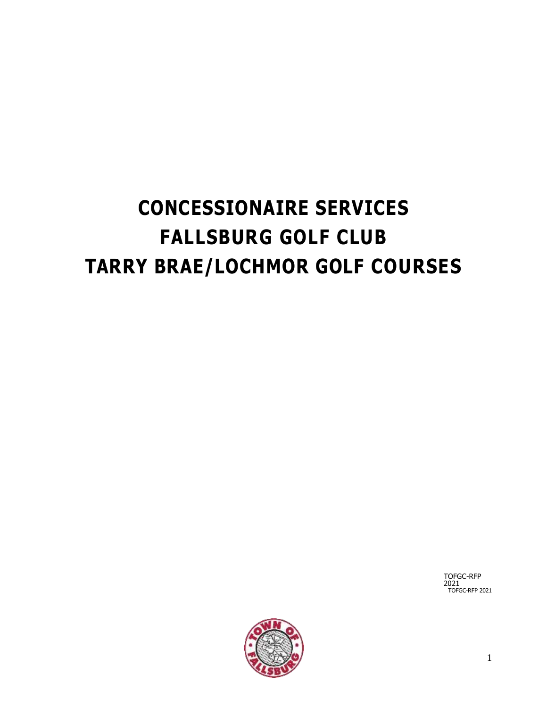# **CONCESSIONAIRE SERVICES FALLSBURG GOLF CLUB TARRY BRAE/LOCHMOR GOLF COURSES**

TOFGC-RFP 2021 TOFGC-RFP 2021

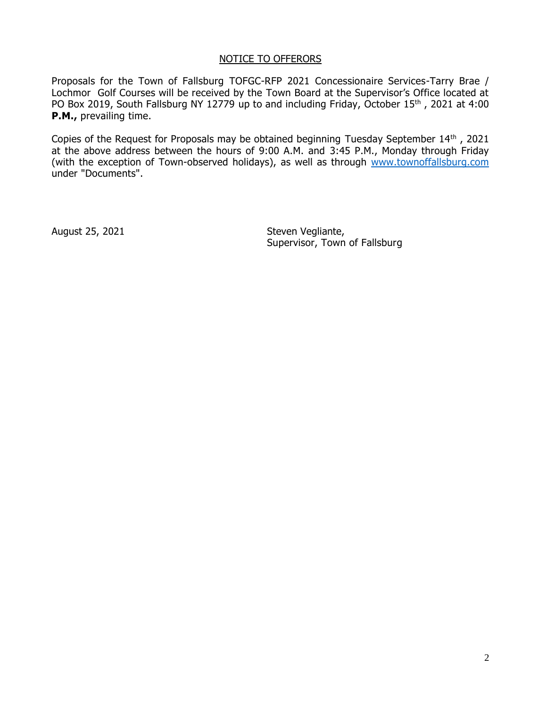#### NOTICE TO OFFERORS

Proposals for the Town of Fallsburg TOFGC-RFP 2021 Concessionaire Services-Tarry Brae / Lochmor Golf Courses will be received by the Town Board at the Supervisor's Office located at PO Box 2019, South Fallsburg NY 12779 up to and including Friday, October 15<sup>th</sup>, 2021 at 4:00 **P.M.,** prevailing time.

Copies of the Request for Proposals may be obtained beginning Tuesday September 14th , 2021 at the above address between the hours of 9:00 A.M. and 3:45 P.M., Monday through Friday (with the exception of Town-observed holidays), as well as through [www.townoffallsburg.com](http://www.townoffallsburg.com/) under "Documents".

August 25, 2021 **Steven Vegliante**, Supervisor, Town of Fallsburg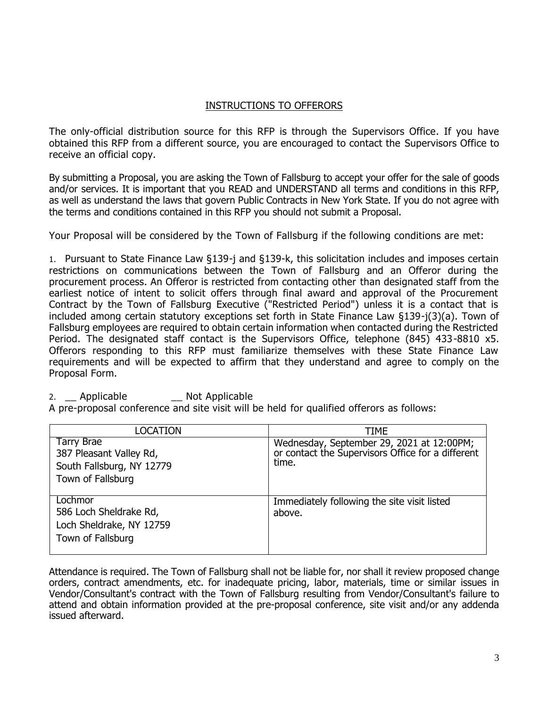# INSTRUCTIONS TO OFFERORS

The only-official distribution source for this RFP is through the Supervisors Office. If you have obtained this RFP from a different source, you are encouraged to contact the Supervisors Office to receive an official copy.

By submitting a Proposal, you are asking the Town of Fallsburg to accept your offer for the sale of goods and/or services. It is important that you READ and UNDERSTAND all terms and conditions in this RFP, as well as understand the laws that govern Public Contracts in New York State. If you do not agree with the terms and conditions contained in this RFP you should not submit a Proposal.

Your Proposal will be considered by the Town of Fallsburg if the following conditions are met:

1. Pursuant to State Finance Law §139-j and §139-k, this solicitation includes and imposes certain restrictions on communications between the Town of Fallsburg and an Offeror during the procurement process. An Offeror is restricted from contacting other than designated staff from the earliest notice of intent to solicit offers through final award and approval of the Procurement Contract by the Town of Fallsburg Executive ("Restricted Period") unless it is a contact that is included among certain statutory exceptions set forth in State Finance Law §139-j(3)(a). Town of Fallsburg employees are required to obtain certain information when contacted during the Restricted Period. The designated staff contact is the Supervisors Office, telephone (845) 433-8810 x5. Offerors responding to this RFP must familiarize themselves with these State Finance Law requirements and will be expected to affirm that they understand and agree to comply on the Proposal Form.

# 2. Applicable **Not Applicable**

A pre-proposal conference and site visit will be held for qualified offerors as follows:

| <b>LOCATION</b>                                                                                | <b>TIME</b>                                                                                             |
|------------------------------------------------------------------------------------------------|---------------------------------------------------------------------------------------------------------|
| <b>Tarry Brae</b><br>387 Pleasant Valley Rd,<br>South Fallsburg, NY 12779<br>Town of Fallsburg | Wednesday, September 29, 2021 at 12:00PM;<br>or contact the Supervisors Office for a different<br>time. |
| Lochmor<br>586 Loch Sheldrake Rd,<br>Loch Sheldrake, NY 12759<br>Town of Fallsburg             | Immediately following the site visit listed<br>above.                                                   |

Attendance is required. The Town of Fallsburg shall not be liable for, nor shall it review proposed change orders, contract amendments, etc. for inadequate pricing, labor, materials, time or similar issues in Vendor/Consultant's contract with the Town of Fallsburg resulting from Vendor/Consultant's failure to attend and obtain information provided at the pre-proposal conference, site visit and/or any addenda issued afterward.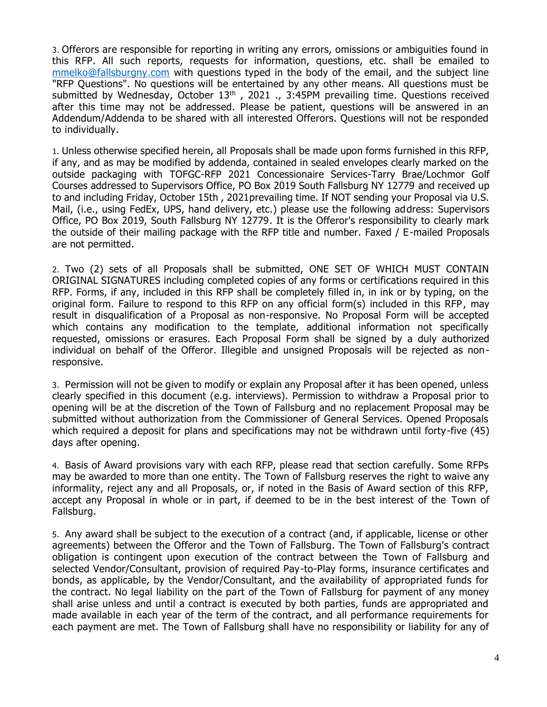3. Offerors are responsible for reporting in writing any errors, omissions or ambiguities found in this RFP. All such reports, requests for information, questions, etc. shall be emailed to [mmelko@fallsburgny.com](mailto:mmelko@fallsburgny.com) with questions typed in the body of the email, and the subject line "RFP Questions". No questions will be entertained by any other means. All questions must be submitted by Wednesday, October 13<sup>th</sup>, 2021., 3:45PM prevailing time. Questions received after this time may not be addressed. Please be patient, questions will be answered in an Addendum/Addenda to be shared with all interested Offerors. Questions will not be responded to individually.

1. Unless otherwise specified herein, all Proposals shall be made upon forms furnished in this RFP, if any, and as may be modified by addenda, contained in sealed envelopes clearly marked on the outside packaging with TOFGC-RFP 2021 Concessionaire Services-Tarry Brae/Lochmor Golf Courses addressed to Supervisors Office, PO Box 2019 South Fallsburg NY 12779 and received up to and including Friday, October 15th , 2021prevailing time. If NOT sending your Proposal via U.S. Mail, (i.e., using FedEx, UPS, hand delivery, etc.) please use the following address: Supervisors Office, PO Box 2019, South Fallsburg NY 12779. It is the Offeror's responsibility to clearly mark the outside of their mailing package with the RFP title and number. Faxed / E-mailed Proposals are not permitted.

2. Two (2) sets of all Proposals shall be submitted, ONE SET OF WHICH MUST CONTAIN ORIGINAL SIGNATURES including completed copies of any forms or certifications required in this RFP. Forms, if any, included in this RFP shall be completely filled in, in ink or by typing, on the original form. Failure to respond to this RFP on any official form(s) included in this RFP, may result in disqualification of a Proposal as non-responsive. No Proposal Form will be accepted which contains any modification to the template, additional information not specifically requested, omissions or erasures. Each Proposal Form shall be signed by a duly authorized individual on behalf of the Offeror. Illegible and unsigned Proposals will be rejected as nonresponsive.

3. Permission will not be given to modify or explain any Proposal after it has been opened, unless clearly specified in this document (e.g. interviews). Permission to withdraw a Proposal prior to opening will be at the discretion of the Town of Fallsburg and no replacement Proposal may be submitted without authorization from the Commissioner of General Services. Opened Proposals which required a deposit for plans and specifications may not be withdrawn until forty-five (45) days after opening.

4. Basis of Award provisions vary with each RFP, please read that section carefully. Some RFPs may be awarded to more than one entity. The Town of Fallsburg reserves the right to waive any informality, reject any and all Proposals, or, if noted in the Basis of Award section of this RFP, accept any Proposal in whole or in part, if deemed to be in the best interest of the Town of Fallsburg.

5. Any award shall be subject to the execution of a contract (and, if applicable, license or other agreements) between the Offeror and the Town of Fallsburg. The Town of Fallsburg's contract obligation is contingent upon execution of the contract between the Town of Fallsburg and selected Vendor/Consultant, provision of required Pay-to-Play forms, insurance certificates and bonds, as applicable, by the Vendor/Consultant, and the availability of appropriated funds for the contract. No legal liability on the part of the Town of Fallsburg for payment of any money shall arise unless and until a contract is executed by both parties, funds are appropriated and made available in each year of the term of the contract, and all performance requirements for each payment are met. The Town of Fallsburg shall have no responsibility or liability for any of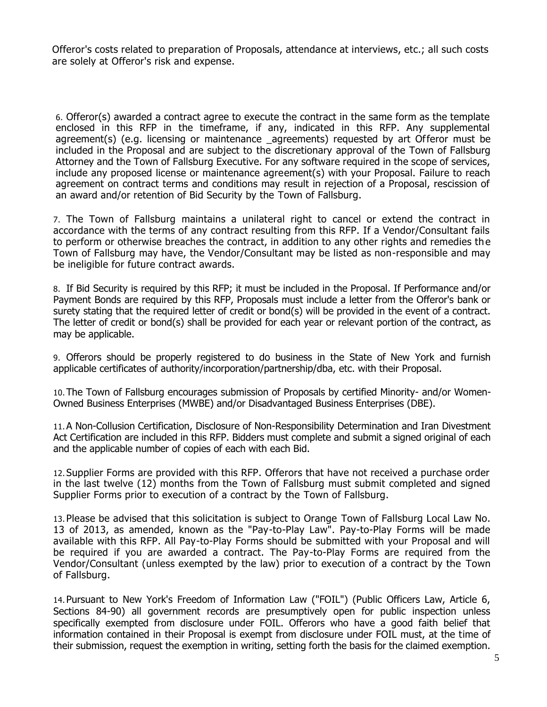Offeror's costs related to preparation of Proposals, attendance at interviews, etc.; all such costs are solely at Offeror's risk and expense.

6. Offeror(s) awarded a contract agree to execute the contract in the same form as the template enclosed in this RFP in the timeframe, if any, indicated in this RFP. Any supplemental agreement(s) (e.g. licensing or maintenance \_agreements) requested by art Offeror must be included in the Proposal and are subject to the discretionary approval of the Town of Fallsburg Attorney and the Town of Fallsburg Executive. For any software required in the scope of services, include any proposed license or maintenance agreement(s) with your Proposal. Failure to reach agreement on contract terms and conditions may result in rejection of a Proposal, rescission of an award and/or retention of Bid Security by the Town of Fallsburg.

7. The Town of Fallsburg maintains a unilateral right to cancel or extend the contract in accordance with the terms of any contract resulting from this RFP. If a Vendor/Consultant fails to perform or otherwise breaches the contract, in addition to any other rights and remedies the Town of Fallsburg may have, the Vendor/Consultant may be listed as non-responsible and may be ineligible for future contract awards.

8. If Bid Security is required by this RFP; it must be included in the Proposal. If Performance and/or Payment Bonds are required by this RFP, Proposals must include a letter from the Offeror's bank or surety stating that the required letter of credit or bond(s) will be provided in the event of a contract. The letter of credit or bond(s) shall be provided for each year or relevant portion of the contract, as may be applicable.

9. Offerors should be properly registered to do business in the State of New York and furnish applicable certificates of authority/incorporation/partnership/dba, etc. with their Proposal.

10.The Town of Fallsburg encourages submission of Proposals by certified Minority- and/or Women-Owned Business Enterprises (MWBE) and/or Disadvantaged Business Enterprises (DBE).

11.A Non-Collusion Certification, Disclosure of Non-Responsibility Determination and Iran Divestment Act Certification are included in this RFP. Bidders must complete and submit a signed original of each and the applicable number of copies of each with each Bid.

12.Supplier Forms are provided with this RFP. Offerors that have not received a purchase order in the last twelve (12) months from the Town of Fallsburg must submit completed and signed Supplier Forms prior to execution of a contract by the Town of Fallsburg.

13.Please be advised that this solicitation is subject to Orange Town of Fallsburg Local Law No. 13 of 2013, as amended, known as the "Pay-to-Play Law". Pay-to-Play Forms will be made available with this RFP. All Pay-to-Play Forms should be submitted with your Proposal and will be required if you are awarded a contract. The Pay-to-Play Forms are required from the Vendor/Consultant (unless exempted by the law) prior to execution of a contract by the Town of Fallsburg.

14.Pursuant to New York's Freedom of Information Law ("FOIL") (Public Officers Law, Article 6, Sections 84-90) all government records are presumptively open for public inspection unless specifically exempted from disclosure under FOIL. Offerors who have a good faith belief that information contained in their Proposal is exempt from disclosure under FOIL must, at the time of their submission, request the exemption in writing, setting forth the basis for the claimed exemption.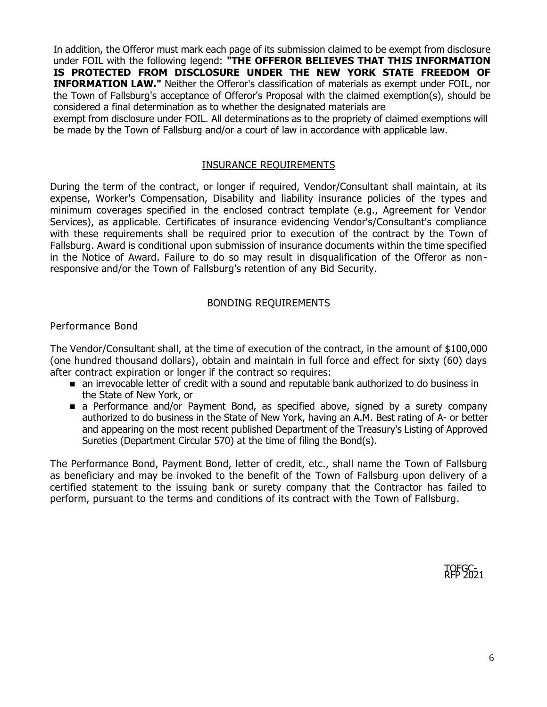In addition, the Offeror must mark each page of its submission claimed to be exempt from disclosure under FOIL with the following legend: **"THE OFFEROR BELIEVES THAT THIS INFORMATION IS PROTECTED FROM DISCLOSURE UNDER THE NEW YORK STATE FREEDOM OF INFORMATION LAW."** Neither the Offeror's classification of materials as exempt under FOIL, nor the Town of Fallsburg's acceptance of Offeror's Proposal with the claimed exemption(s), should be considered a final determination as to whether the designated materials are

exempt from disclosure under FOIL. All determinations as to the propriety of claimed exemptions will be made by the Town of Fallsburg and/or a court of law in accordance with applicable law.

## INSURANCE REQUIREMENTS

During the term of the contract, or longer if required, Vendor/Consultant shall maintain, at its expense, Worker's Compensation, Disability and liability insurance policies of the types and minimum coverages specified in the enclosed contract template (e.g., Agreement for Vendor Services), as applicable. Certificates of insurance evidencing Vendor's/Consultant's compliance with these requirements shall be required prior to execution of the contract by the Town of Fallsburg. Award is conditional upon submission of insurance documents within the time specified in the Notice of Award. Failure to do so may result in disqualification of the Offeror as nonresponsive and/or the Town of Fallsburg's retention of any Bid Security.

## BONDING REQUIREMENTS

#### Performance Bond

The Vendor/Consultant shall, at the time of execution of the contract, in the amount of \$100,000 (one hundred thousand dollars), obtain and maintain in full force and effect for sixty (60) days after contract expiration or longer if the contract so requires:

- an irrevocable letter of credit with a sound and reputable bank authorized to do business in the State of New York, or
- a Performance and/or Payment Bond, as specified above, signed by a surety company authorized to do business in the State of New York, having an A.M. Best rating of A- or better and appearing on the most recent published Department of the Treasury's Listing of Approved Sureties (Department Circular 570) at the time of filing the Bond(s).

The Performance Bond, Payment Bond, letter of credit, etc., shall name the Town of Fallsburg as beneficiary and may be invoked to the benefit of the Town of Fallsburg upon delivery of a certified statement to the issuing bank or surety company that the Contractor has failed to perform, pursuant to the terms and conditions of its contract with the Town of Fallsburg.

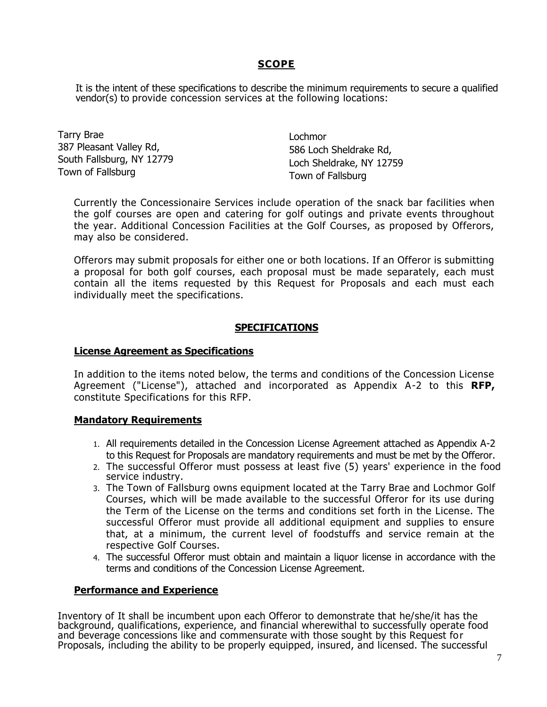# **SCOPE**

It is the intent of these specifications to describe the minimum requirements to secure a qualified vendor(s) to provide concession services at the following locations:

Tarry Brae 387 Pleasant Valley Rd, South Fallsburg, NY 12779 Town of Fallsburg

Lochmor 586 Loch Sheldrake Rd, Loch Sheldrake, NY 12759 Town of Fallsburg

Currently the Concessionaire Services include operation of the snack bar facilities when the golf courses are open and catering for golf outings and private events throughout the year. Additional Concession Facilities at the Golf Courses, as proposed by Offerors, may also be considered.

Offerors may submit proposals for either one or both locations. If an Offeror is submitting a proposal for both golf courses, each proposal must be made separately, each must contain all the items requested by this Request for Proposals and each must each individually meet the specifications.

## **SPECIFICATIONS**

#### **License Agreement as Specifications**

In addition to the items noted below, the terms and conditions of the Concession License Agreement ("License"), attached and incorporated as Appendix A-2 to this **RFP,**  constitute Specifications for this RFP.

## **Mandatory Requirements**

- 1. All requirements detailed in the Concession License Agreement attached as Appendix A-2 to this Request for Proposals are mandatory requirements and must be met by the Offeror.
- 2. The successful Offeror must possess at least five (5) years' experience in the food service industry.
- 3. The Town of Fallsburg owns equipment located at the Tarry Brae and Lochmor Golf Courses, which will be made available to the successful Offeror for its use during the Term of the License on the terms and conditions set forth in the License. The successful Offeror must provide all additional equipment and supplies to ensure that, at a minimum, the current level of foodstuffs and service remain at the respective Golf Courses.
- 4. The successful Offeror must obtain and maintain a liquor license in accordance with the terms and conditions of the Concession License Agreement.

#### **Performance and Experience**

Inventory of It shall be incumbent upon each Offeror to demonstrate that he/she/it has the background, qualifications, experience, and financial wherewithal to successfully operate food and beverage concessions like and commensurate with those sought by this Request for Proposals, including the ability to be properly equipped, insured, and licensed. The successful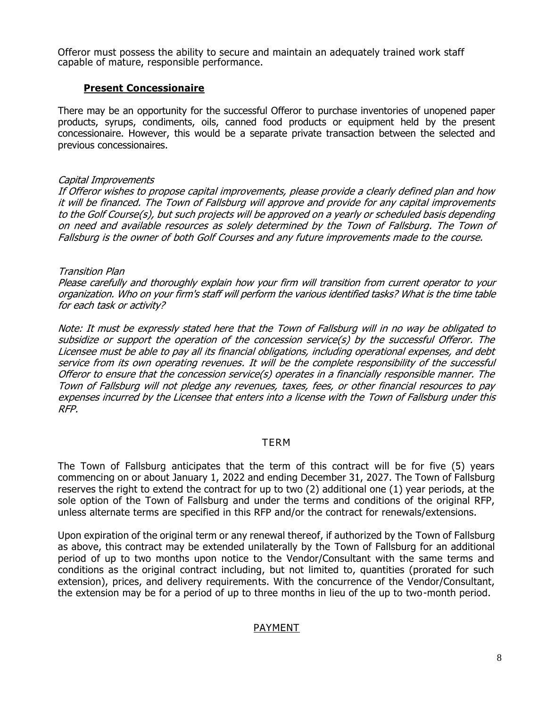Offeror must possess the ability to secure and maintain an adequately trained work staff capable of mature, responsible performance.

## **Present Concessionaire**

There may be an opportunity for the successful Offeror to purchase inventories of unopened paper products, syrups, condiments, oils, canned food products or equipment held by the present concessionaire. However, this would be a separate private transaction between the selected and previous concessionaires.

#### Capital Improvements

If Offeror wishes to propose capital improvements, please provide a clearly defined plan and how it will be financed. The Town of Fallsburg will approve and provide for any capital improvements to the Golf Course(s), but such projects will be approved on a yearly or scheduled basis depending on need and available resources as solely determined by the Town of Fallsburg. The Town of Fallsburg is the owner of both Golf Courses and any future improvements made to the course.

#### Transition Plan

Please carefully and thoroughly explain how your firm will transition from current operator to your organization. Who on your firm's staff will perform the various identified tasks? What is the time table for each task or activity?

Note: It must be expressly stated here that the Town of Fallsburg will in no way be obligated to subsidize or support the operation of the concession service(s) by the successful Offeror. The Licensee must be able to pay all its financial obligations, including operational expenses, and debt service from its own operating revenues. It will be the complete responsibility of the successful Offeror to ensure that the concession service(s) operates in a financially responsible manner. The Town of Fallsburg will not pledge any revenues, taxes, fees, or other financial resources to pay expenses incurred by the Licensee that enters into a license with the Town of Fallsburg under this RFP.

#### TERM

The Town of Fallsburg anticipates that the term of this contract will be for five (5) years commencing on or about January 1, 2022 and ending December 31, 2027. The Town of Fallsburg reserves the right to extend the contract for up to two (2) additional one (1) year periods, at the sole option of the Town of Fallsburg and under the terms and conditions of the original RFP, unless alternate terms are specified in this RFP and/or the contract for renewals/extensions.

Upon expiration of the original term or any renewal thereof, if authorized by the Town of Fallsburg as above, this contract may be extended unilaterally by the Town of Fallsburg for an additional period of up to two months upon notice to the Vendor/Consultant with the same terms and conditions as the original contract including, but not limited to, quantities (prorated for such extension), prices, and delivery requirements. With the concurrence of the Vendor/Consultant, the extension may be for a period of up to three months in lieu of the up to two-month period.

## PAYMENT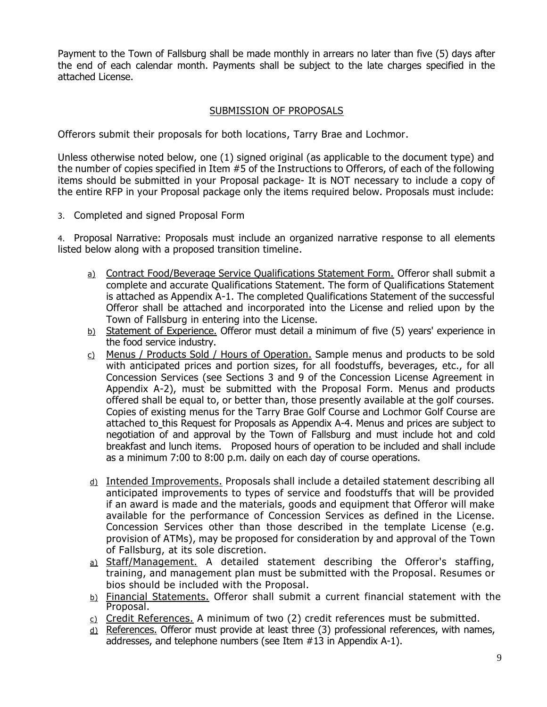Payment to the Town of Fallsburg shall be made monthly in arrears no later than five (5) days after the end of each calendar month. Payments shall be subject to the late charges specified in the attached License.

## SUBMISSION OF PROPOSALS

Offerors submit their proposals for both locations, Tarry Brae and Lochmor.

Unless otherwise noted below, one (1) signed original (as applicable to the document type) and the number of copies specified in Item #5 of the Instructions to Offerors, of each of the following items should be submitted in your Proposal package- It is NOT necessary to include a copy of the entire RFP in your Proposal package only the items required below. Proposals must include:

3. Completed and signed Proposal Form

4. Proposal Narrative: Proposals must include an organized narrative response to all elements listed below along with a proposed transition timeline.

- a) Contract Food/Beverage Service Qualifications Statement Form. Offeror shall submit a complete and accurate Qualifications Statement. The form of Qualifications Statement is attached as Appendix A-1. The completed Qualifications Statement of the successful Offeror shall be attached and incorporated into the License and relied upon by the Town of Fallsburg in entering into the License.
- $b)$  Statement of Experience. Offeror must detail a minimum of five (5) years' experience in the food service industry.
- $c)$  Menus / Products Sold / Hours of Operation. Sample menus and products to be sold with anticipated prices and portion sizes, for all foodstuffs, beverages, etc., for all Concession Services (see Sections 3 and 9 of the Concession License Agreement in Appendix A-2), must be submitted with the Proposal Form. Menus and products offered shall be equal to, or better than, those presently available at the golf courses. Copies of existing menus for the Tarry Brae Golf Course and Lochmor Golf Course are attached to this Request for Proposals as Appendix A-4. Menus and prices are subject to negotiation of and approval by the Town of Fallsburg and must include hot and cold breakfast and lunch items. Proposed hours of operation to be included and shall include as a minimum 7:00 to 8:00 p.m. daily on each day of course operations.
- d) Intended Improvements. Proposals shall include a detailed statement describing all anticipated improvements to types of service and foodstuffs that will be provided if an award is made and the materials, goods and equipment that Offeror will make available for the performance of Concession Services as defined in the License. Concession Services other than those described in the template License (e.g. provision of ATMs), may be proposed for consideration by and approval of the Town of Fallsburg, at its sole discretion.
- a) Staff/Management. A detailed statement describing the Offeror's staffing, training, and management plan must be submitted with the Proposal. Resumes or bios should be included with the Proposal.
- b) Financial Statements. Offeror shall submit a current financial statement with the Proposal.
- c) Credit References. A minimum of two (2) credit references must be submitted.
- $\underline{\text{d}}$ ) References. Offeror must provide at least three (3) professional references, with names, addresses, and telephone numbers (see Item #13 in Appendix A-1).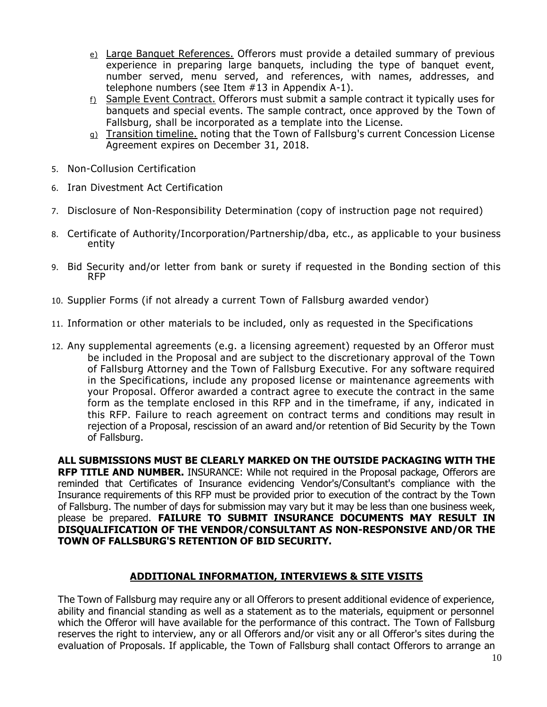- e) Large Banquet References. Offerors must provide a detailed summary of previous experience in preparing large banquets, including the type of banquet event, number served, menu served, and references, with names, addresses, and telephone numbers (see Item #13 in Appendix A-1).
- f) Sample Event Contract. Offerors must submit a sample contract it typically uses for banquets and special events. The sample contract, once approved by the Town of Fallsburg, shall be incorporated as a template into the License.
- g) Transition timeline. noting that the Town of Fallsburg's current Concession License Agreement expires on December 31, 2018.
- 5. Non-Collusion Certification
- 6. Iran Divestment Act Certification
- 7. Disclosure of Non-Responsibility Determination (copy of instruction page not required)
- 8. Certificate of Authority/Incorporation/Partnership/dba, etc., as applicable to your business entity
- 9. Bid Security and/or letter from bank or surety if requested in the Bonding section of this RFP
- 10. Supplier Forms (if not already a current Town of Fallsburg awarded vendor)
- 11. Information or other materials to be included, only as requested in the Specifications
- 12. Any supplemental agreements (e.g. a licensing agreement) requested by an Offeror must be included in the Proposal and are subject to the discretionary approval of the Town of Fallsburg Attorney and the Town of Fallsburg Executive. For any software required in the Specifications, include any proposed license or maintenance agreements with your Proposal. Offeror awarded a contract agree to execute the contract in the same form as the template enclosed in this RFP and in the timeframe, if any, indicated in this RFP. Failure to reach agreement on contract terms and conditions may result in rejection of a Proposal, rescission of an award and/or retention of Bid Security by the Town of Fallsburg.

**ALL SUBMISSIONS MUST BE CLEARLY MARKED ON THE OUTSIDE PACKAGING WITH THE RFP TITLE AND NUMBER.** INSURANCE: While not required in the Proposal package, Offerors are reminded that Certificates of Insurance evidencing Vendor's/Consultant's compliance with the Insurance requirements of this RFP must be provided prior to execution of the contract by the Town of Fallsburg. The number of days for submission may vary but it may be less than one business week, please be prepared. **FAILURE TO SUBMIT INSURANCE DOCUMENTS MAY RESULT IN DISQUALIFICATION OF THE VENDOR/CONSULTANT AS NON-RESPONSIVE AND/OR THE TOWN OF FALLSBURG'S RETENTION OF BID SECURITY.**

# **ADDITIONAL INFORMATION, INTERVIEWS & SITE VISITS**

The Town of Fallsburg may require any or all Offerors to present additional evidence of experience, ability and financial standing as well as a statement as to the materials, equipment or personnel which the Offeror will have available for the performance of this contract. The Town of Fallsburg reserves the right to interview, any or all Offerors and/or visit any or all Offeror's sites during the evaluation of Proposals. If applicable, the Town of Fallsburg shall contact Offerors to arrange an